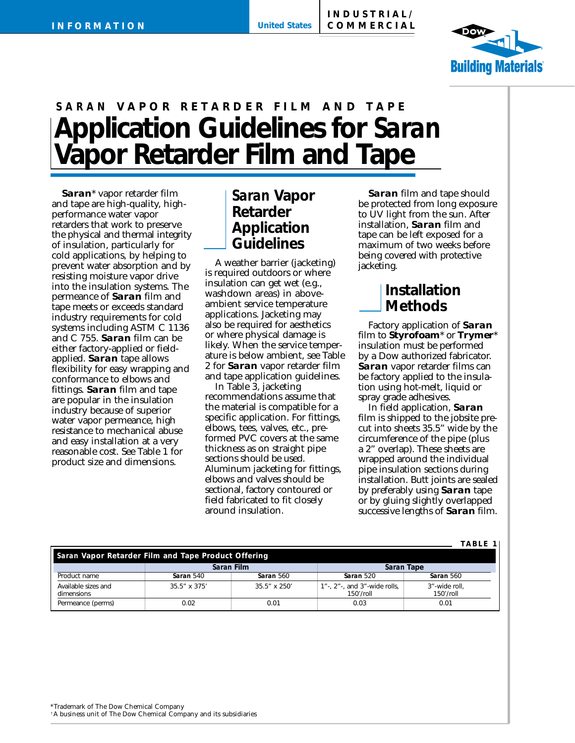

# **Application Guidelines for** *Saran* **Vapor Retarder Film and Tape** *SARAN* **VAPOR RETARDER FILM AND TAPE**

*Saran*\* vapor retarder film and tape are high-quality, highperformance water vapor retarders that work to preserve the physical and thermal integrity of insulation, particularly for cold applications, by helping to prevent water absorption and by resisting moisture vapor drive into the insulation systems. The permeance of *Saran* film and tape meets or exceeds standard industry requirements for cold systems including ASTM C 1136 and C 755. *Saran* film can be either factory-applied or fieldapplied. *Saran* tape allows flexibility for easy wrapping and conformance to elbows and fittings. *Saran* film and tape are popular in the insulation industry because of superior water vapor permeance, high resistance to mechanical abuse and easy installation at a very reasonable cost. See Table 1 for product size and dimensions.

## *Saran* **Vapor Retarder Application Guidelines**

A weather barrier (jacketing) is required outdoors or where insulation can get wet (e.g., washdown areas) in aboveambient service temperature applications. Jacketing may also be required for aesthetics or where physical damage is likely. When the service temperature is below ambient, see Table 2 for *Saran* vapor retarder film and tape application guidelines.

In Table 3, jacketing recommendations assume that the material is compatible for a specific application. For fittings, elbows, tees, valves, etc., preformed PVC covers at the same thickness as on straight pipe sections should be used. Aluminum jacketing for fittings, elbows and valves should be sectional, factory contoured or field fabricated to fit closely around insulation.

*Saran* film and tape should be protected from long exposure to UV light from the sun. After installation, *Saran* film and tape can be left exposed for a maximum of two weeks before being covered with protective jacketing.

### **Installation Methods**

Factory application of *Saran* film to **Styrofoam**\* or **Trymer**\* insulation must be performed by a Dow authorized fabricator. *Saran* vapor retarder films can be factory applied to the insulation using hot-melt, liquid or spray grade adhesives.

In field application, *Saran* film is shipped to the jobsite precut into sheets 35.5" wide by the circumference of the pipe (plus a 2" overlap). These sheets are wrapped around the individual pipe insulation sections during installation. Butt joints are sealed by preferably using *Saran* tape or by gluing slightly overlapped successive lengths of *Saran* film.

**TABLE 1**

| Saran Vapor Retarder Film and Tape Product Offering |                      |                      |                                           |                            |  |  |  |
|-----------------------------------------------------|----------------------|----------------------|-------------------------------------------|----------------------------|--|--|--|
|                                                     | Saran Film           |                      | Saran Tape                                |                            |  |  |  |
| Product name                                        | Saran 540            | Saran 560            | Saran 520                                 | Saran 560                  |  |  |  |
| Available sizes and<br>dimensions                   | $35.5'' \times 375'$ | $35.5'' \times 250'$ | 1"-, 2"-, and 3"-wide rolls,<br>150'/roll | 3"-wide roll.<br>150'/roll |  |  |  |
| Permeance (perms)                                   | 0.02                 | 0.01                 | 0.03                                      | 0.01                       |  |  |  |